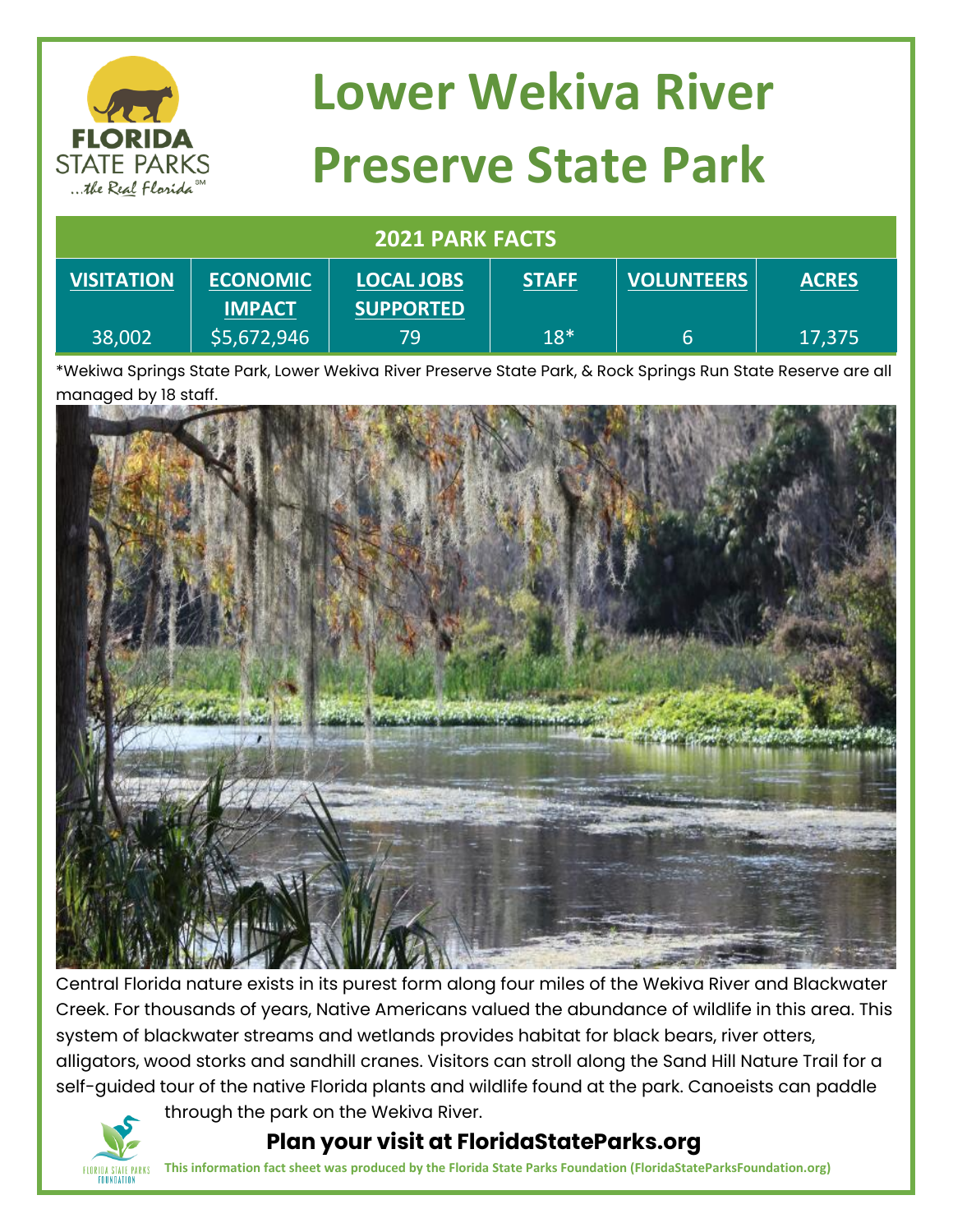

# **Lower Wekiva River Preserve State Park**

#### **2021 PARK FACTS**

| <b>VISITATION</b> | <b>ECONOMIC</b> | <b>LOCAL JOBS</b> | <b>STAFF</b><br><u>and the company of the company of the company of the company of the company of the company of the company of the company of the company of the company of the company of the company of the company of the company of the com</u> | <b>VOLUNTEERS</b> | <b>ACRES</b> |
|-------------------|-----------------|-------------------|------------------------------------------------------------------------------------------------------------------------------------------------------------------------------------------------------------------------------------------------------|-------------------|--------------|
|                   | <b>IMPACT</b>   | <b>SUPPORTED</b>  |                                                                                                                                                                                                                                                      |                   |              |
| $ 38,002\rangle$  | \$5,672,946     | 79.               | $18*$                                                                                                                                                                                                                                                | b                 | 17,375       |

\*Wekiwa Springs State Park, Lower Wekiva River Preserve State Park, & Rock Springs Run State Reserve are all managed by 18 staff.



Central Florida nature exists in its purest form along four miles of the Wekiva River and Blackwater Creek. For thousands of years, Native Americans valued the abundance of wildlife in this area. This system of blackwater streams and wetlands provides habitat for black bears, river otters, alligators, wood storks and sandhill cranes. Visitors can stroll along the Sand Hill Nature Trail for a self-guided tour of the native Florida plants and wildlife found at the park. Canoeists can paddle



through the park on the Wekiva River.  **Plan your visit at FloridaStateParks.org**

**This information fact sheet was produced by the Florida State Parks Foundation (FloridaStateParksFoundation.org)**